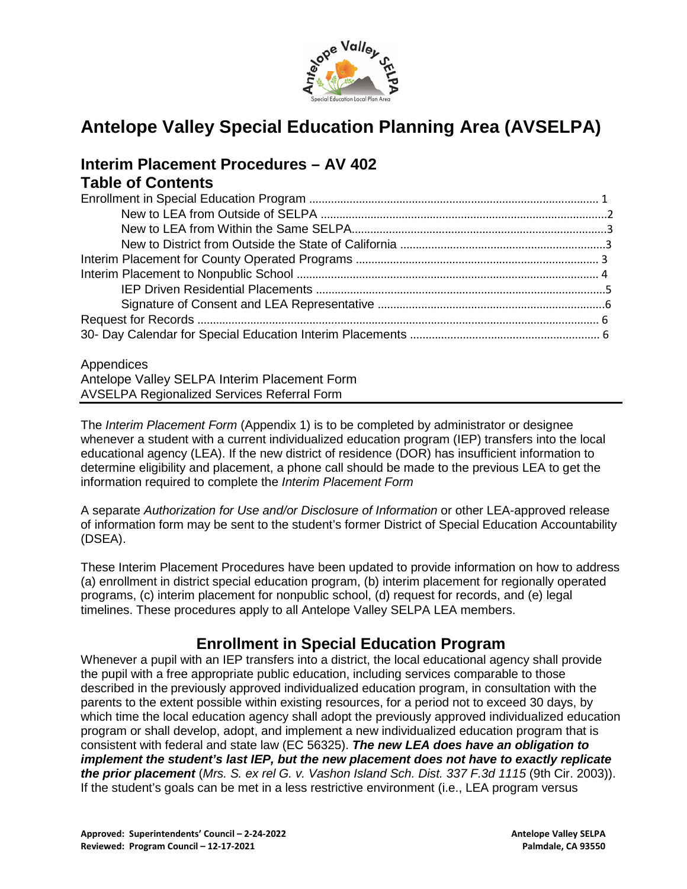

# **Antelope Valley Special Education Planning Area (AVSELPA)**

# **Interim Placement Procedures – AV 402 Table of Contents**

#### Appendices

Antelope Valley SELPA Interim Placement Form AVSELPA Regionalized Services Referral Form

The *Interim Placement Form* (Appendix 1) is to be completed by administrator or designee whenever a student with a current individualized education program (IEP) transfers into the local educational agency (LEA). If the new district of residence (DOR) has insufficient information to determine eligibility and placement, a phone call should be made to the previous LEA to get the information required to complete the *Interim Placement Form*

A separate *Authorization for Use and/or Disclosure of Information* or other LEA-approved release of information form may be sent to the student's former District of Special Education Accountability (DSEA).

These Interim Placement Procedures have been updated to provide information on how to address (a) enrollment in district special education program, (b) interim placement for regionally operated programs, (c) interim placement for nonpublic school, (d) request for records, and (e) legal timelines. These procedures apply to all Antelope Valley SELPA LEA members.

## **Enrollment in Special Education Program**

Whenever a pupil with an IEP transfers into a district, the local educational agency shall provide the pupil with a free appropriate public education, including services comparable to those described in the previously approved individualized education program, in consultation with the parents to the extent possible within existing resources, for a period not to exceed 30 days, by which time the local education agency shall adopt the previously approved individualized education program or shall develop, adopt, and implement a new individualized education program that is consistent with federal and state law (EC 56325). *The new LEA does have an obligation to implement the student's last IEP, but the new placement does not have to exactly replicate the prior placement* (*Mrs. S. ex rel G. v. Vashon Island Sch. Dist. 337 F.3d 1115* (9th Cir. 2003)). If the student's goals can be met in a less restrictive environment (i.e., LEA program versus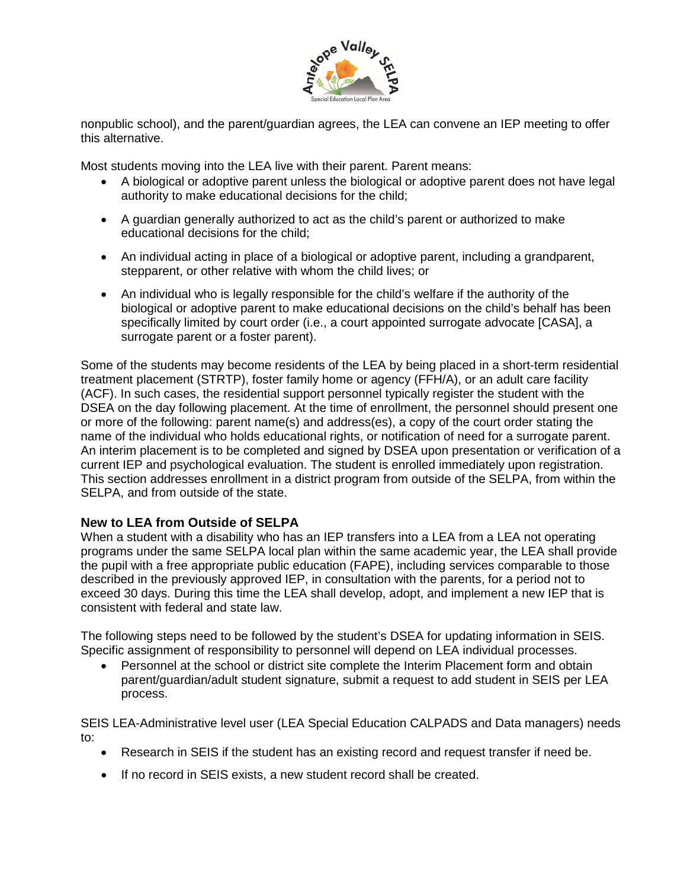

nonpublic school), and the parent/guardian agrees, the LEA can convene an IEP meeting to offer this alternative.

Most students moving into the LEA live with their parent. Parent means:

- A biological or adoptive parent unless the biological or adoptive parent does not have legal authority to make educational decisions for the child;
- A guardian generally authorized to act as the child's parent or authorized to make educational decisions for the child;
- An individual acting in place of a biological or adoptive parent, including a grandparent, stepparent, or other relative with whom the child lives; or
- An individual who is legally responsible for the child's welfare if the authority of the biological or adoptive parent to make educational decisions on the child's behalf has been specifically limited by court order (i.e., a court appointed surrogate advocate [CASA], a surrogate parent or a foster parent).

Some of the students may become residents of the LEA by being placed in a short-term residential treatment placement (STRTP), foster family home or agency (FFH/A), or an adult care facility (ACF). In such cases, the residential support personnel typically register the student with the DSEA on the day following placement. At the time of enrollment, the personnel should present one or more of the following: parent name(s) and address(es), a copy of the court order stating the name of the individual who holds educational rights, or notification of need for a surrogate parent. An interim placement is to be completed and signed by DSEA upon presentation or verification of a current IEP and psychological evaluation. The student is enrolled immediately upon registration. This section addresses enrollment in a district program from outside of the SELPA, from within the SELPA, and from outside of the state.

### **New to LEA from Outside of SELPA**

When a student with a disability who has an IEP transfers into a LEA from a LEA not operating programs under the same SELPA local plan within the same academic year, the LEA shall provide the pupil with a free appropriate public education (FAPE), including services comparable to those described in the previously approved IEP, in consultation with the parents, for a period not to exceed 30 days. During this time the LEA shall develop, adopt, and implement a new IEP that is consistent with federal and state law.

The following steps need to be followed by the student's DSEA for updating information in SEIS. Specific assignment of responsibility to personnel will depend on LEA individual processes.

• Personnel at the school or district site complete the Interim Placement form and obtain parent/guardian/adult student signature, submit a request to add student in SEIS per LEA process.

SEIS LEA-Administrative level user (LEA Special Education CALPADS and Data managers) needs to:

- Research in SEIS if the student has an existing record and request transfer if need be.
- If no record in SEIS exists, a new student record shall be created.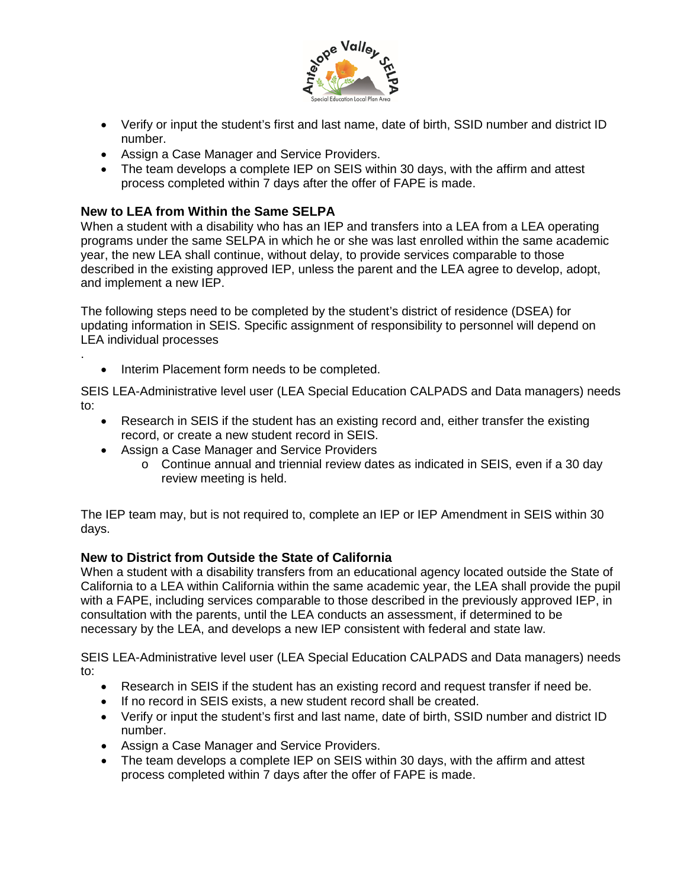

- Verify or input the student's first and last name, date of birth, SSID number and district ID number.
- Assign a Case Manager and Service Providers.
- The team develops a complete IEP on SEIS within 30 days, with the affirm and attest process completed within 7 days after the offer of FAPE is made.

### **New to LEA from Within the Same SELPA**

.

When a student with a disability who has an IEP and transfers into a LEA from a LEA operating programs under the same SELPA in which he or she was last enrolled within the same academic year, the new LEA shall continue, without delay, to provide services comparable to those described in the existing approved IEP, unless the parent and the LEA agree to develop, adopt, and implement a new IEP.

The following steps need to be completed by the student's district of residence (DSEA) for updating information in SEIS. Specific assignment of responsibility to personnel will depend on LEA individual processes

• Interim Placement form needs to be completed.

SEIS LEA-Administrative level user (LEA Special Education CALPADS and Data managers) needs to:

- Research in SEIS if the student has an existing record and, either transfer the existing record, or create a new student record in SEIS.
- Assign a Case Manager and Service Providers
	- o Continue annual and triennial review dates as indicated in SEIS, even if a 30 day review meeting is held.

The IEP team may, but is not required to, complete an IEP or IEP Amendment in SEIS within 30 days.

#### **New to District from Outside the State of California**

When a student with a disability transfers from an educational agency located outside the State of California to a LEA within California within the same academic year, the LEA shall provide the pupil with a FAPE, including services comparable to those described in the previously approved IEP, in consultation with the parents, until the LEA conducts an assessment, if determined to be necessary by the LEA, and develops a new IEP consistent with federal and state law.

SEIS LEA-Administrative level user (LEA Special Education CALPADS and Data managers) needs to:

- Research in SEIS if the student has an existing record and request transfer if need be.
- If no record in SEIS exists, a new student record shall be created.
- Verify or input the student's first and last name, date of birth, SSID number and district ID number.
- Assign a Case Manager and Service Providers.
- The team develops a complete IEP on SEIS within 30 days, with the affirm and attest process completed within 7 days after the offer of FAPE is made.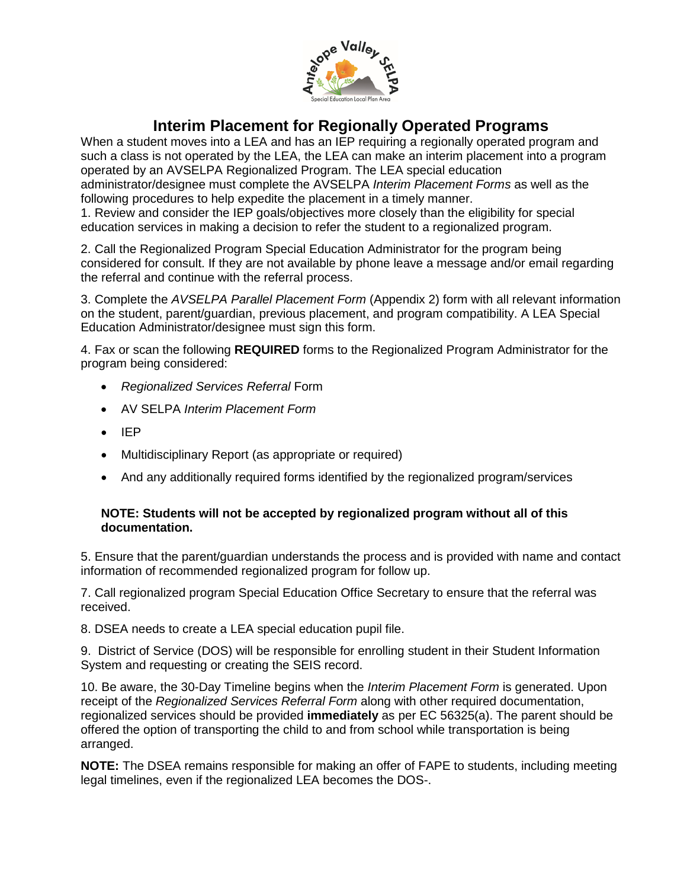

# **Interim Placement for Regionally Operated Programs**

When a student moves into a LEA and has an IEP requiring a regionally operated program and such a class is not operated by the LEA, the LEA can make an interim placement into a program operated by an AVSELPA Regionalized Program. The LEA special education administrator/designee must complete the AVSELPA *Interim Placement Forms* as well as the following procedures to help expedite the placement in a timely manner.

1. Review and consider the IEP goals/objectives more closely than the eligibility for special education services in making a decision to refer the student to a regionalized program.

2. Call the Regionalized Program Special Education Administrator for the program being considered for consult. If they are not available by phone leave a message and/or email regarding the referral and continue with the referral process.

3. Complete the *AVSELPA Parallel Placement Form* (Appendix 2) form with all relevant information on the student, parent/guardian, previous placement, and program compatibility. A LEA Special Education Administrator/designee must sign this form.

4. Fax or scan the following **REQUIRED** forms to the Regionalized Program Administrator for the program being considered:

- *Regionalized Services Referral* Form
- AV SELPA *Interim Placement Form*
- IEP
- Multidisciplinary Report (as appropriate or required)
- And any additionally required forms identified by the regionalized program/services

#### **NOTE: Students will not be accepted by regionalized program without all of this documentation.**

5. Ensure that the parent/guardian understands the process and is provided with name and contact information of recommended regionalized program for follow up.

7. Call regionalized program Special Education Office Secretary to ensure that the referral was received.

8. DSEA needs to create a LEA special education pupil file.

9. District of Service (DOS) will be responsible for enrolling student in their Student Information System and requesting or creating the SEIS record.

10. Be aware, the 30-Day Timeline begins when the *Interim Placement Form* is generated. Upon receipt of the *Regionalized Services Referral Form* along with other required documentation, regionalized services should be provided **immediately** as per EC 56325(a). The parent should be offered the option of transporting the child to and from school while transportation is being arranged.

**NOTE:** The DSEA remains responsible for making an offer of FAPE to students, including meeting legal timelines, even if the regionalized LEA becomes the DOS-.